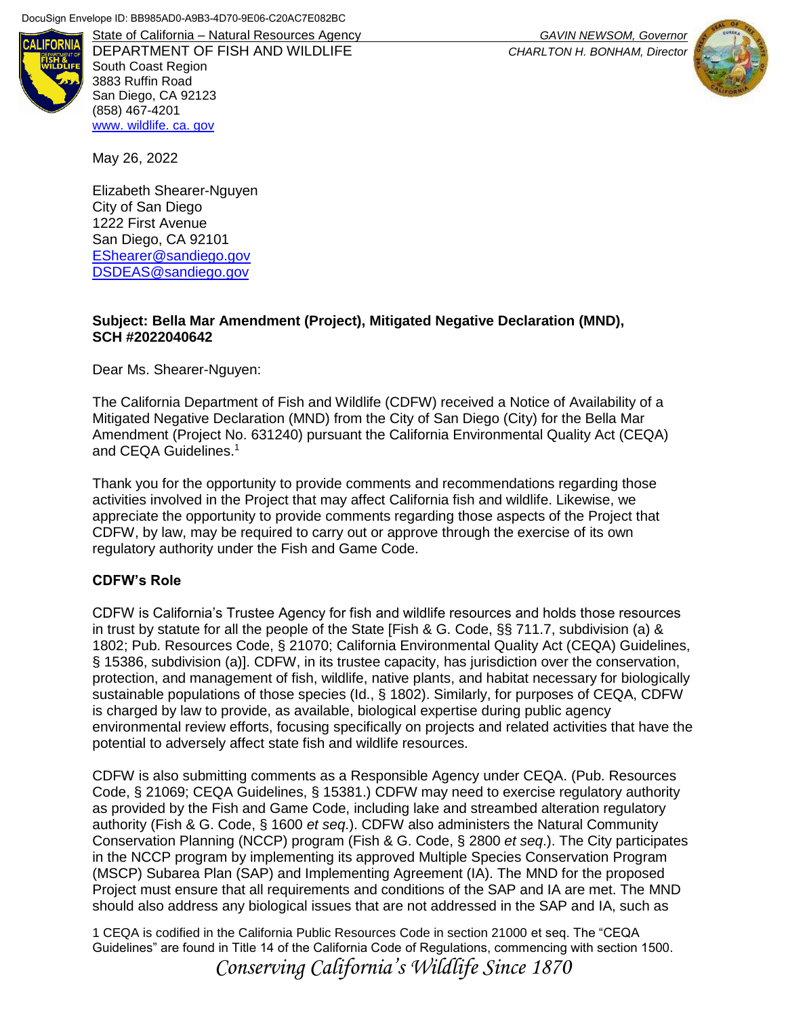

DEPARTMENT OF FISH AND WILDLIFE *CHARLTON H. BONHAM, Director* South Coast Region 3883 Ruffin Road San Diego, CA 92123 (858) 467-4201 [www. wildlife. ca. gov](file:///C:/Users/Jamie/Desktop/www.wildlife.ca.gov)

State of California – Natural Resources Agency *GAVIN NEWSOM, Governor*



May 26, 2022

Elizabeth Shearer-Nguyen City of San Diego 1222 First Avenue San Diego, CA 92101 [EShearer@sandiego.gov](file:///C:/Users/AKalinowski/AppData/Local/Microsoft/Windows/INetCache/Content.Outlook/0GGYK4TK/EShearer@sandiego.gov) [DSDEAS@sandiego.gov](mailto:DSDEAS@sandiego.gov)

#### **Subject: Bella Mar Amendment (Project), Mitigated Negative Declaration (MND), SCH #2022040642**

Dear Ms. Shearer-Nguyen:

The California Department of Fish and Wildlife (CDFW) received a Notice of Availability of a Mitigated Negative Declaration (MND) from the City of San Diego (City) for the Bella Mar Amendment (Project No. 631240) pursuant the California Environmental Quality Act (CEQA) and CEQA Guidelines.<sup>1</sup>

Thank you for the opportunity to provide comments and recommendations regarding those activities involved in the Project that may affect California fish and wildlife. Likewise, we appreciate the opportunity to provide comments regarding those aspects of the Project that CDFW, by law, may be required to carry out or approve through the exercise of its own regulatory authority under the Fish and Game Code.

#### **CDFW's Role**

CDFW is California's Trustee Agency for fish and wildlife resources and holds those resources in trust by statute for all the people of the State [Fish & G. Code, §§ 711.7, subdivision (a) & 1802; Pub. Resources Code, § 21070; California Environmental Quality Act (CEQA) Guidelines, § 15386, subdivision (a)]. CDFW, in its trustee capacity, has jurisdiction over the conservation, protection, and management of fish, wildlife, native plants, and habitat necessary for biologically sustainable populations of those species (Id., § 1802). Similarly, for purposes of CEQA, CDFW is charged by law to provide, as available, biological expertise during public agency environmental review efforts, focusing specifically on projects and related activities that have the potential to adversely affect state fish and wildlife resources.

CDFW is also submitting comments as a Responsible Agency under CEQA. (Pub. Resources Code, § 21069; CEQA Guidelines, § 15381.) CDFW may need to exercise regulatory authority as provided by the Fish and Game Code, including lake and streambed alteration regulatory authority (Fish & G. Code, § 1600 *et seq*.). CDFW also administers the Natural Community Conservation Planning (NCCP) program (Fish & G. Code, § 2800 *et seq*.). The City participates in the NCCP program by implementing its approved Multiple Species Conservation Program (MSCP) Subarea Plan (SAP) and Implementing Agreement (IA). The MND for the proposed Project must ensure that all requirements and conditions of the SAP and IA are met. The MND should also address any biological issues that are not addressed in the SAP and IA, such as

1 CEQA is codified in the California Public Resources Code in section 21000 et seq. The "CEQA Guidelines" are found in Title 14 of the California Code of Regulations, commencing with section 1500. *Conserving California's Wildlife Since 1870*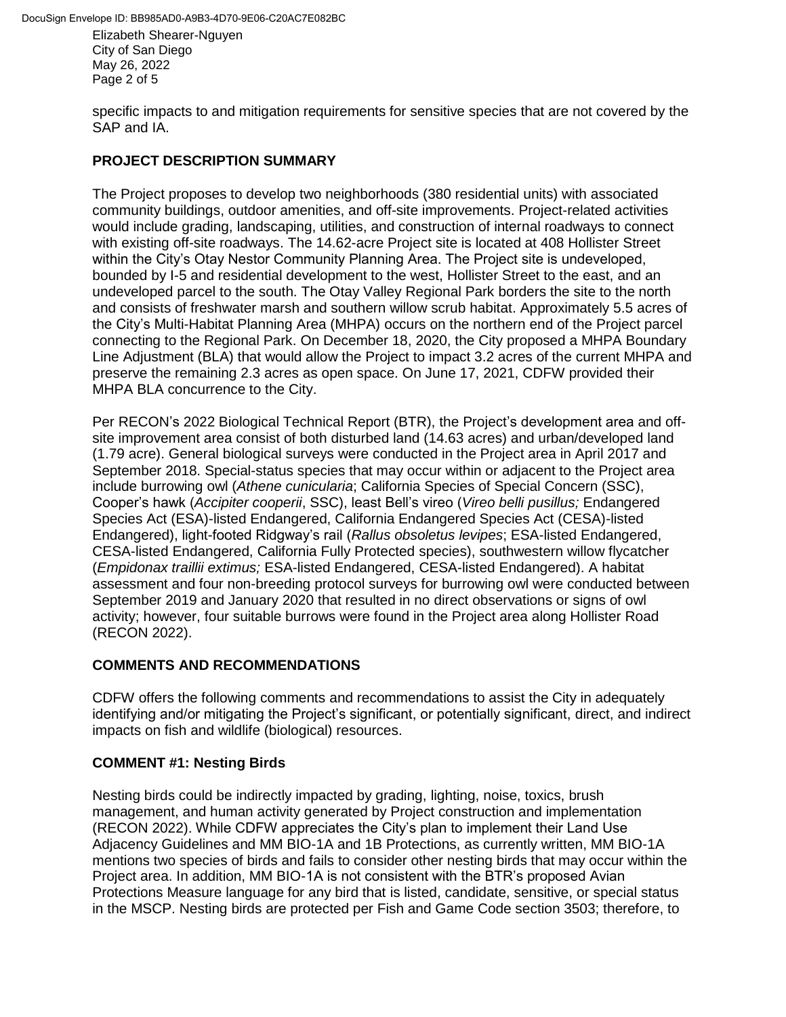Elizabeth Shearer-Nguyen City of San Diego May 26, 2022 Page 2 of 5

specific impacts to and mitigation requirements for sensitive species that are not covered by the SAP and IA.

### **PROJECT DESCRIPTION SUMMARY**

The Project proposes to develop two neighborhoods (380 residential units) with associated community buildings, outdoor amenities, and off-site improvements. Project-related activities would include grading, landscaping, utilities, and construction of internal roadways to connect with existing off-site roadways. The 14.62-acre Project site is located at 408 Hollister Street within the City's Otay Nestor Community Planning Area. The Project site is undeveloped, bounded by I-5 and residential development to the west, Hollister Street to the east, and an undeveloped parcel to the south. The Otay Valley Regional Park borders the site to the north and consists of freshwater marsh and southern willow scrub habitat. Approximately 5.5 acres of the City's Multi-Habitat Planning Area (MHPA) occurs on the northern end of the Project parcel connecting to the Regional Park. On December 18, 2020, the City proposed a MHPA Boundary Line Adjustment (BLA) that would allow the Project to impact 3.2 acres of the current MHPA and preserve the remaining 2.3 acres as open space. On June 17, 2021, CDFW provided their MHPA BLA concurrence to the City.

Per RECON's 2022 Biological Technical Report (BTR), the Project's development area and offsite improvement area consist of both disturbed land (14.63 acres) and urban/developed land (1.79 acre). General biological surveys were conducted in the Project area in April 2017 and September 2018. Special-status species that may occur within or adjacent to the Project area include burrowing owl (*Athene cunicularia*; California Species of Special Concern (SSC), Cooper's hawk (*Accipiter cooperii*, SSC), least Bell's vireo (*Vireo belli pusillus;* Endangered Species Act (ESA)-listed Endangered, California Endangered Species Act (CESA)-listed Endangered), light-footed Ridgway's rail (*Rallus obsoletus levipes*; ESA-listed Endangered, CESA-listed Endangered, California Fully Protected species), southwestern willow flycatcher (*Empidonax traillii extimus;* ESA-listed Endangered, CESA-listed Endangered). A habitat assessment and four non-breeding protocol surveys for burrowing owl were conducted between September 2019 and January 2020 that resulted in no direct observations or signs of owl activity; however, four suitable burrows were found in the Project area along Hollister Road (RECON 2022).

# **COMMENTS AND RECOMMENDATIONS**

CDFW offers the following comments and recommendations to assist the City in adequately identifying and/or mitigating the Project's significant, or potentially significant, direct, and indirect impacts on fish and wildlife (biological) resources.

# **COMMENT #1: Nesting Birds**

Nesting birds could be indirectly impacted by grading, lighting, noise, toxics, brush management, and human activity generated by Project construction and implementation (RECON 2022). While CDFW appreciates the City's plan to implement their Land Use Adjacency Guidelines and MM BIO-1A and 1B Protections, as currently written, MM BIO-1A mentions two species of birds and fails to consider other nesting birds that may occur within the Project area. In addition, MM BIO-1A is not consistent with the BTR's proposed Avian Protections Measure language for any bird that is listed, candidate, sensitive, or special status in the MSCP. Nesting birds are protected per Fish and Game Code section 3503; therefore, to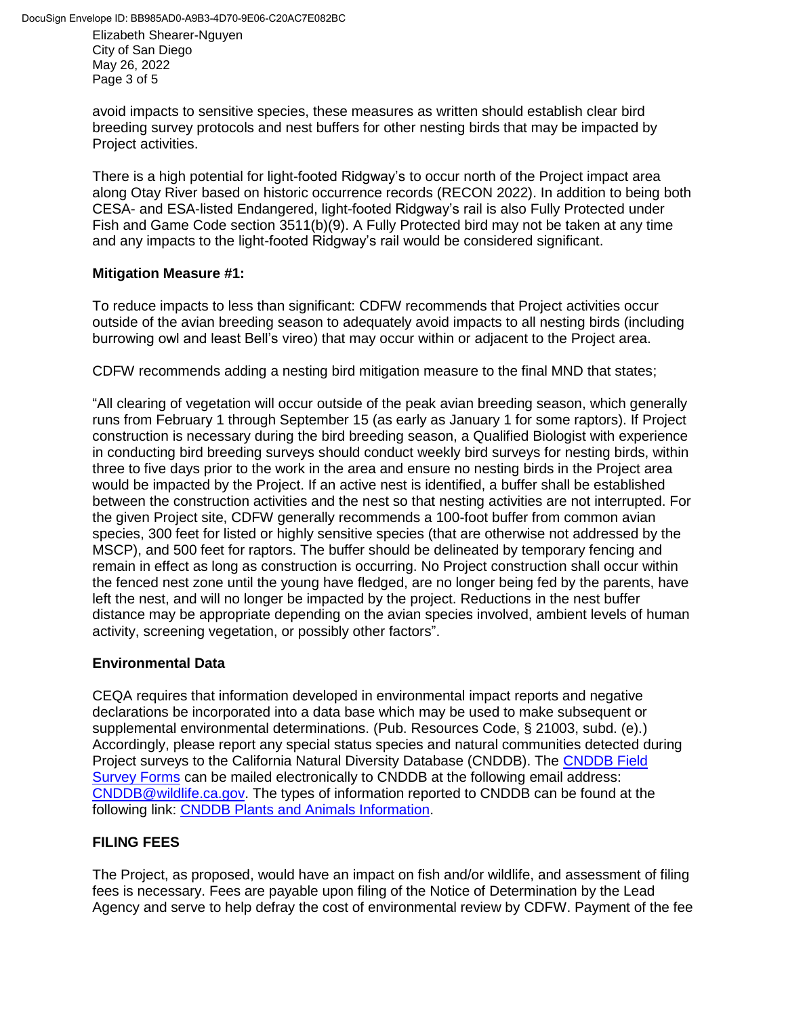Elizabeth Shearer-Nguyen City of San Diego May 26, 2022 Page 3 of 5

avoid impacts to sensitive species, these measures as written should establish clear bird breeding survey protocols and nest buffers for other nesting birds that may be impacted by Project activities.

There is a high potential for light-footed Ridgway's to occur north of the Project impact area along Otay River based on historic occurrence records (RECON 2022). In addition to being both CESA- and ESA-listed Endangered, light-footed Ridgway's rail is also Fully Protected under Fish and Game Code section 3511(b)(9). A Fully Protected bird may not be taken at any time and any impacts to the light-footed Ridgway's rail would be considered significant.

### **Mitigation Measure #1:**

To reduce impacts to less than significant: CDFW recommends that Project activities occur outside of the avian breeding season to adequately avoid impacts to all nesting birds (including burrowing owl and least Bell's vireo) that may occur within or adjacent to the Project area.

CDFW recommends adding a nesting bird mitigation measure to the final MND that states;

"All clearing of vegetation will occur outside of the peak avian breeding season, which generally runs from February 1 through September 15 (as early as January 1 for some raptors). If Project construction is necessary during the bird breeding season, a Qualified Biologist with experience in conducting bird breeding surveys should conduct weekly bird surveys for nesting birds, within three to five days prior to the work in the area and ensure no nesting birds in the Project area would be impacted by the Project. If an active nest is identified, a buffer shall be established between the construction activities and the nest so that nesting activities are not interrupted. For the given Project site, CDFW generally recommends a 100-foot buffer from common avian species, 300 feet for listed or highly sensitive species (that are otherwise not addressed by the MSCP), and 500 feet for raptors. The buffer should be delineated by temporary fencing and remain in effect as long as construction is occurring. No Project construction shall occur within the fenced nest zone until the young have fledged, are no longer being fed by the parents, have left the nest, and will no longer be impacted by the project. Reductions in the nest buffer distance may be appropriate depending on the avian species involved, ambient levels of human activity, screening vegetation, or possibly other factors".

# **Environmental Data**

CEQA requires that information developed in environmental impact reports and negative declarations be incorporated into a data base which may be used to make subsequent or supplemental environmental determinations. (Pub. Resources Code, § 21003, subd. (e).) Accordingly, please report any special status species and natural communities detected during Project surveys to the California Natural Diversity Database (CNDDB). The [CNDDB Field](https://wildlife.ca.gov/Data/CNDDB/Submitting-Data)  [Survey Forms](https://wildlife.ca.gov/Data/CNDDB/Submitting-Data) can be mailed electronically to CNDDB at the following email address: [CNDDB@wildlife.ca.gov.](mailto:CNDDB@wildlife.ca.gov) The types of information reported to CNDDB can be found at the following link: [CNDDB Plants and Animals Information.](https://wildlife.ca.gov/Data/CNDDB/Plants-and-Animals)

# **FILING FEES**

The Project, as proposed, would have an impact on fish and/or wildlife, and assessment of filing fees is necessary. Fees are payable upon filing of the Notice of Determination by the Lead Agency and serve to help defray the cost of environmental review by CDFW. Payment of the fee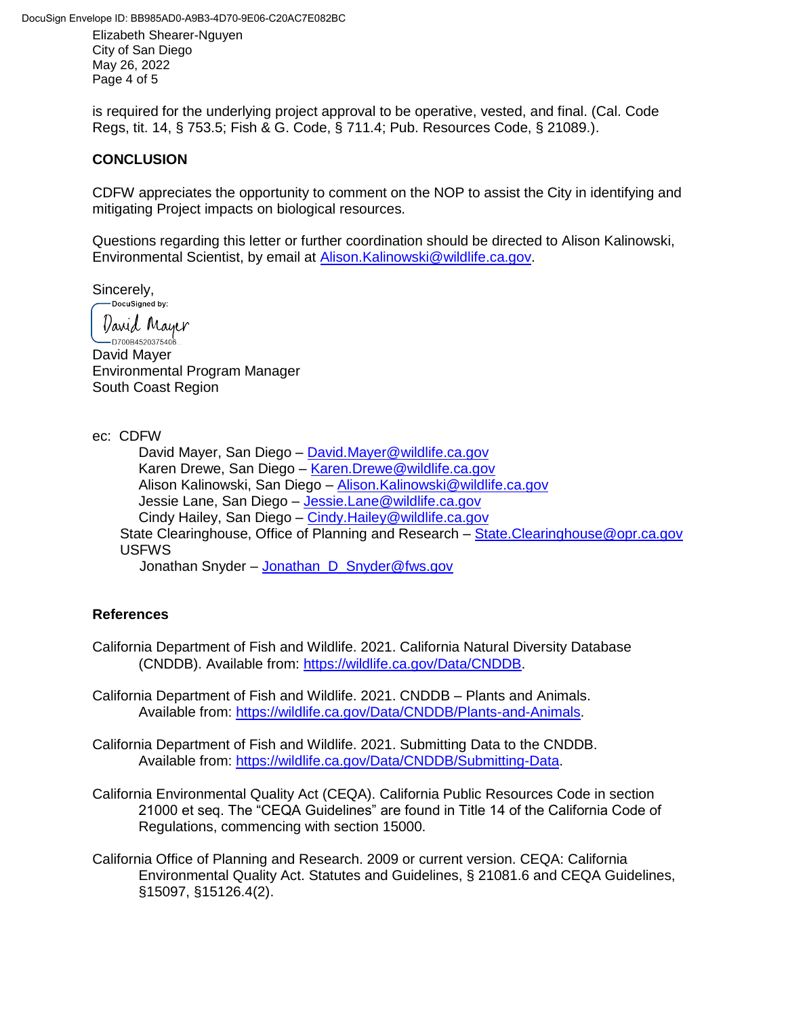DocuSign Envelope ID: BB985AD0-A9B3-4D70-9E06-C20AC7E082BC

Elizabeth Shearer-Nguyen City of San Diego May 26, 2022 Page 4 of 5

is required for the underlying project approval to be operative, vested, and final. (Cal. Code Regs, tit. 14, § 753.5; Fish & G. Code, § 711.4; Pub. Resources Code, § 21089.).

### **CONCLUSION**

CDFW appreciates the opportunity to comment on the NOP to assist the City in identifying and mitigating Project impacts on biological resources.

Questions regarding this letter or further coordination should be directed to Alison Kalinowski, Environmental Scientist, by email at [Alison.Kalinowski@wildlife.ca.gov.](mailto:Alison.Kalinowski@wildlife.ca.gov.)

Sincerely,<br>
Pocusigned by:

David Mayer

- 1<br>-- D700B4520375406 David Mayer Environmental Program Manager South Coast Region

ec: CDFW

David Mayer, San Diego – [David.Mayer@wildlife.ca.gov](mailto:David.Mayer@wildlife.ca.gov) Karen Drewe, San Diego – [Karen.Drewe@wildlife.ca.gov](mailto:Karen.Drewe@wildlife.ca.gov) Alison Kalinowski, San Diego – [Alison.Kalinowski@wildlife.ca.gov](mailto:Alison.Kalinowski@wildlife.ca.gov) Jessie Lane, San Diego – [Jessie.Lane@wildlife.ca.gov](mailto:Jessie.Lane@wildlife.ca.gov) Cindy Hailey, San Diego – [Cindy.Hailey@wildlife.ca.gov](mailto:Cindy.Hailey@wildlife.ca.gov) State Clearinghouse, Office of Planning and Research – [State.Clearinghouse@opr.ca.gov](mailto:State.Clearinghouse@opr.ca.gov) USFWS

Jonathan Snyder – [Jonathan\\_D\\_Snyder@fws.gov](mailto:Jonathan_D_Snyder@fws.gov)

# **References**

- California Department of Fish and Wildlife. 2021. California Natural Diversity Database (CNDDB). Available from: [https://wildlife.ca.gov/Data/CNDDB.](https://wildlife.ca.gov/Data/CNDDB)
- California Department of Fish and Wildlife. 2021. CNDDB Plants and Animals. Available from: [https://wildlife.ca.gov/Data/CNDDB/Plants-and-Animals.](https://wildlife.ca.gov/Data/CNDDB/Plants-and-Animals)
- California Department of Fish and Wildlife. 2021. Submitting Data to the CNDDB. Available from: [https://wildlife.ca.gov/Data/CNDDB/Submitting-Data.](https://wildlife.ca.gov/Data/CNDDB/Submitting-Data)
- California Environmental Quality Act (CEQA). California Public Resources Code in section 21000 et seq. The "CEQA Guidelines" are found in Title 14 of the California Code of Regulations, commencing with section 15000.
- California Office of Planning and Research. 2009 or current version. CEQA: California Environmental Quality Act. Statutes and Guidelines, § 21081.6 and CEQA Guidelines, §15097, §15126.4(2).